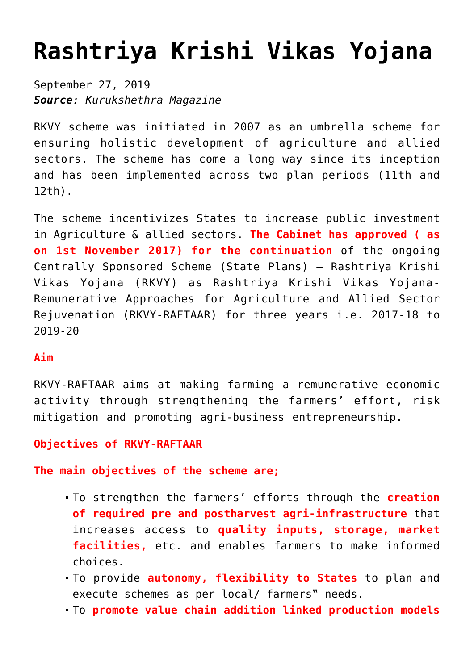# **[Rashtriya Krishi Vikas Yojana](https://journalsofindia.com/rashtriya-krishi-vikas-yojana/)**

September 27, 2019 *Source: Kurukshethra Magazine*

RKVY scheme was initiated in 2007 as an umbrella scheme for ensuring holistic development of agriculture and allied sectors. The scheme has come a long way since its inception and has been implemented across two plan periods (11th and 12th).

The scheme incentivizes States to increase public investment in Agriculture & allied sectors. **The Cabinet has approved ( as on 1st November 2017) for the continuation** of the ongoing Centrally Sponsored Scheme (State Plans) – Rashtriya Krishi Vikas Yojana (RKVY) as Rashtriya Krishi Vikas Yojana-Remunerative Approaches for Agriculture and Allied Sector Rejuvenation (RKVY-RAFTAAR) for three years i.e. 2017-18 to 2019-20

### **Aim**

RKVY-RAFTAAR aims at making farming a remunerative economic activity through strengthening the farmers' effort, risk mitigation and promoting agri-business entrepreneurship.

### **Objectives of RKVY-RAFTAAR**

**The main objectives of the scheme are;**

- To strengthen the farmers' efforts through the **creation of required pre and postharvest agri-infrastructure** that increases access to **quality inputs, storage, market facilities,** etc. and enables farmers to make informed choices.
- To provide **autonomy, flexibility to States** to plan and execute schemes as per local/ farmers" needs.
- To **promote value chain addition linked production models**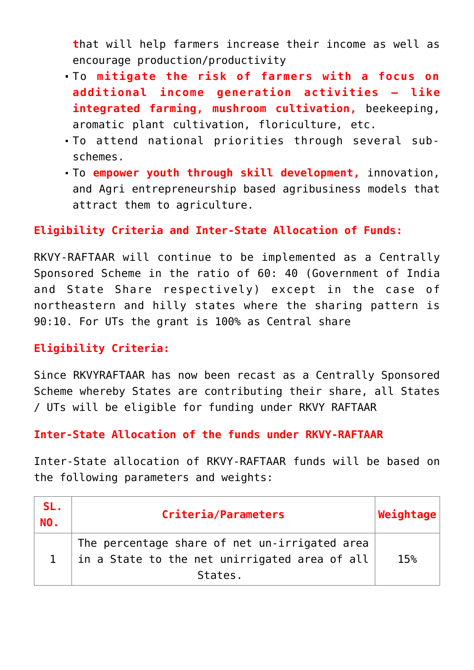**t**hat will help farmers increase their income as well as encourage production/productivity

- To **mitigate the risk of farmers with a focus on additional income generation activities – like integrated farming, mushroom cultivation,** beekeeping, aromatic plant cultivation, floriculture, etc.
- To attend national priorities through several subschemes.
- To **empower youth through skill development,** innovation, and Agri entrepreneurship based agribusiness models that attract them to agriculture.

### **Eligibility Criteria and Inter-State Allocation of Funds:**

RKVY-RAFTAAR will continue to be implemented as a Centrally Sponsored Scheme in the ratio of 60: 40 (Government of India and State Share respectively) except in the case of northeastern and hilly states where the sharing pattern is 90:10. For UTs the grant is 100% as Central share

### **Eligibility Criteria:**

Since RKVYRAFTAAR has now been recast as a Centrally Sponsored Scheme whereby States are contributing their share, all States / UTs will be eligible for funding under RKVY RAFTAAR

#### **Inter-State Allocation of the funds under RKVY-RAFTAAR**

Inter-State allocation of RKVY-RAFTAAR funds will be based on the following parameters and weights:

| SL.<br>NO. | Criteria/Parameters                                                                                       | $ \textsf{Weight} \$ |
|------------|-----------------------------------------------------------------------------------------------------------|----------------------|
|            | The percentage share of net un-irrigated area<br>in a State to the net unirrigated area of all<br>States. | 15%                  |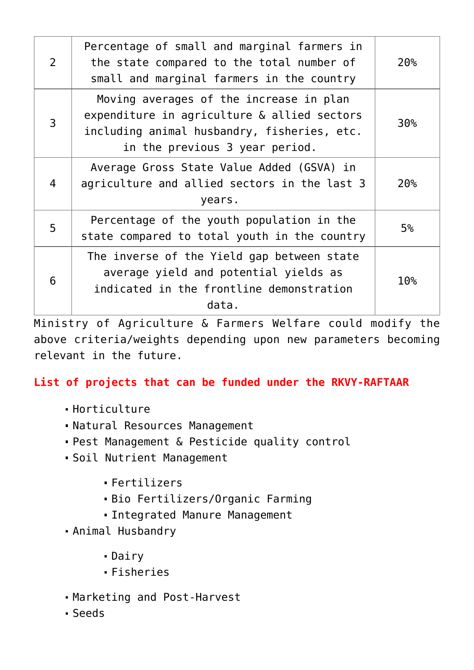| $\mathcal{P}$ | Percentage of small and marginal farmers in<br>the state compared to the total number of<br>small and marginal farmers in the country                                   | 20%             |
|---------------|-------------------------------------------------------------------------------------------------------------------------------------------------------------------------|-----------------|
| 3             | Moving averages of the increase in plan<br>expenditure in agriculture & allied sectors<br>including animal husbandry, fisheries, etc.<br>in the previous 3 year period. | 30 <sub>°</sub> |
| 4             | Average Gross State Value Added (GSVA) in<br>agriculture and allied sectors in the last 3<br>years.                                                                     | 20%             |
| 5             | Percentage of the youth population in the<br>state compared to total youth in the country                                                                               | 5 <sup>°</sup>  |
| 6             | The inverse of the Yield gap between state<br>average yield and potential yields as<br>indicated in the frontline demonstration<br>data.                                | 10 <sup>°</sup> |

Ministry of Agriculture & Farmers Welfare could modify the above criteria/weights depending upon new parameters becoming relevant in the future.

## **List of projects that can be funded under the RKVY-RAFTAAR**

- $-Horticulture$
- Natural Resources Management
- Pest Management & Pesticide quality control
- Soil Nutrient Management
	- Fertilizers
	- Bio Fertilizers/Organic Farming
	- Integrated Manure Management
- Animal Husbandry
	- Dairy
	- Fisheries
- Marketing and Post-Harvest
- Seeds